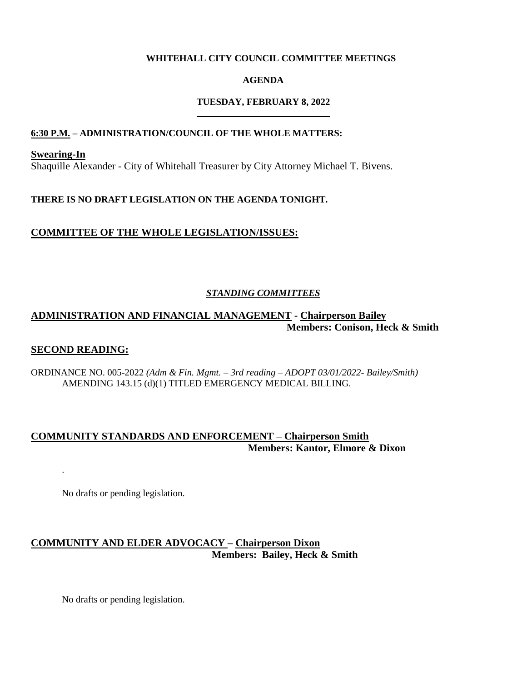#### **WHITEHALL CITY COUNCIL COMMITTEE MEETINGS**

#### **AGENDA**

#### **TUESDAY, FEBRUARY 8, 2022 \_\_\_\_\_\_\_\_\_ \_\_\_\_\_\_\_\_\_\_\_\_\_\_\_**

#### **6:30 P.M. – ADMINISTRATION/COUNCIL OF THE WHOLE MATTERS:**

**Swearing-In** Shaquille Alexander - City of Whitehall Treasurer by City Attorney Michael T. Bivens.

### **THERE IS NO DRAFT LEGISLATION ON THE AGENDA TONIGHT.**

### **COMMITTEE OF THE WHOLE LEGISLATION/ISSUES:**

### *STANDING COMMITTEES*

# **ADMINISTRATION AND FINANCIAL MANAGEMENT - Chairperson Bailey Members: Conison, Heck & Smith**

#### **SECOND READING:**

.

ORDINANCE NO. 005-2022 *(Adm & Fin. Mgmt. – 3rd reading – ADOPT 03/01/2022- Bailey/Smith)* AMENDING 143.15 (d)(1) TITLED EMERGENCY MEDICAL BILLING.

## **COMMUNITY STANDARDS AND ENFORCEMENT – Chairperson Smith Members: Kantor, Elmore & Dixon**

No drafts or pending legislation.

# **COMMUNITY AND ELDER ADVOCACY – Chairperson Dixon Members: Bailey, Heck & Smith**

No drafts or pending legislation.